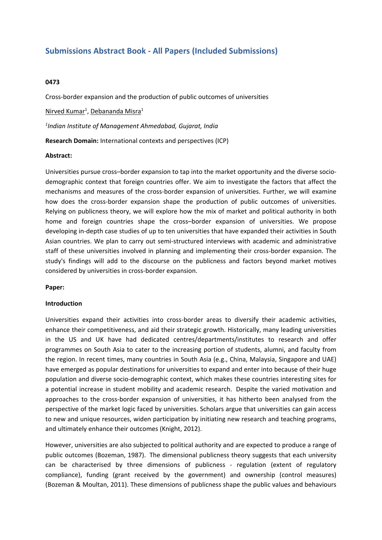# **Submissions Abstract Book - All Papers (Included Submissions)**

### **0473**

Cross-border expansion and the production of public outcomes of universities

Nirved Kumar<sup>1</sup>, Debananda Misra<sup>1</sup>

*1 Indian Institute of Management Ahmedabad, Gujarat, India*

**Research Domain:** International contexts and perspectives (ICP)

### **Abstract:**

Universities pursue cross–border expansion to tap into the market opportunity and the diverse sociodemographic context that foreign countries offer. We aim to investigate the factors that affect the mechanisms and measures of the cross-border expansion of universities. Further, we will examine how does the cross-border expansion shape the production of public outcomes of universities. Relying on publicness theory, we will explore how the mix of market and political authority in both home and foreign countries shape the cross–border expansion of universities. We propose developing in-depth case studies of up to ten universities that have expanded their activities in South Asian countries. We plan to carry out semi-structured interviews with academic and administrative staff of these universities involved in planning and implementing their cross-border expansion. The study's findings will add to the discourse on the publicness and factors beyond market motives considered by universities in cross-border expansion.

### **Paper:**

#### **Introduction**

Universities expand their activities into cross-border areas to diversify their academic activities, enhance their competitiveness, and aid their strategic growth. Historically, many leading universities in the US and UK have had dedicated centres/departments/institutes to research and offer programmes on South Asia to cater to the increasing portion of students, alumni, and faculty from the region. In recent times, many countries in South Asia (e.g., China, Malaysia, Singapore and UAE) have emerged as popular destinations for universities to expand and enter into because of their huge population and diverse socio-demographic context, which makes these countries interesting sites for <sup>a</sup> potential increase in student mobility and academic research. Despite the varied motivation and approaches to the cross-border expansion of universities, it has hitherto been analysed from the perspective of the market logic faced by universities. Scholars argue that universities can gain access to new and unique resources, widen participation by initiating new research and teaching programs, and ultimately enhance their outcomes (Knight, 2012).

However, universities are also subjected to political authority and are expected to produce <sup>a</sup> range of public outcomes (Bozeman, 1987). The dimensional publicness theory suggests that each university can be characterised by three dimensions of publicness - regulation (extent of regulatory compliance), funding (grant received by the government) and ownership (control measures) (Bozeman & Moultan, 2011). These dimensions of publicness shape the public values and behaviours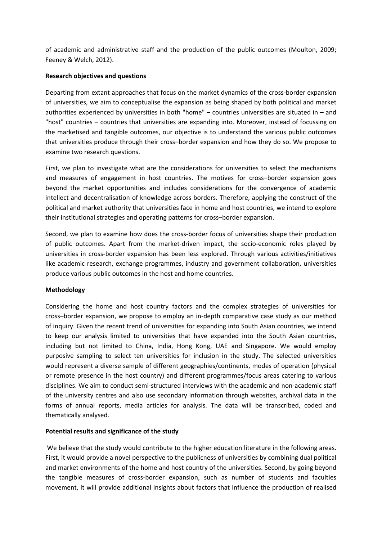of academic and administrative staff and the production of the public outcomes (Moulton, 2009; Feeney & Welch, 2012).

### **Research objectives and questions**

Departing from extant approaches that focus on the market dynamics of the cross-border expansion of universities, we aim to conceptualise the expansion as being shaped by both political and market authorities experienced by universities in both "home" – countries universities are situated in – and "host" countries – countries that universities are expanding into. Moreover, instead of focussing on the marketised and tangible outcomes, our objective is to understand the various public outcomes that universities produce through their cross–border expansion and how they do so. We propose to examine two research questions.

First, we plan to investigate what are the considerations for universities to select the mechanisms and measures of engagement in host countries. The motives for cross–border expansion goes beyond the market opportunities and includes considerations for the convergence of academic intellect and decentralisation of knowledge across borders. Therefore, applying the construct of the political and market authority that universities face in home and host countries, we intend to explore their institutional strategies and operating patterns for cross–border expansion.

Second, we plan to examine how does the cross-border focus of universities shape their production of public outcomes. Apart from the market-driven impact, the socio-economic roles played by universities in cross-border expansion has been less explored. Through various activities/initiatives like academic research, exchange programmes, industry and government collaboration, universities produce various public outcomes in the host and home countries.

### **Methodology**

Considering the home and host country factors and the complex strategies of universities for cross–border expansion, we propose to employ an in-depth comparative case study as our method of inquiry. Given the recent trend of universities for expanding into South Asian countries, we intend to keep our analysis limited to universities that have expanded into the South Asian countries, including but not limited to China, India, Hong Kong, UAE and Singapore. We would employ purposive sampling to select ten universities for inclusion in the study. The selected universities would represent <sup>a</sup> diverse sample of different geographies/continents, modes of operation (physical or remote presence in the host country) and different programmes/focus areas catering to various disciplines. We aim to conduct semi-structured interviews with the academic and non-academic staff of the university centres and also use secondary information through websites, archival data in the forms of annual reports, media articles for analysis. The data will be transcribed, coded and thematically analysed.

### **Potential results and significance of the study**

 We believe that the study would contribute to the higher education literature in the following areas. First, it would provide <sup>a</sup> novel perspective to the publicness of universities by combining dual political and market environments of the home and host country of the universities. Second, by going beyond the tangible measures of cross-border expansion, such as number of students and faculties movement, it will provide additional insights about factors that influence the production of realised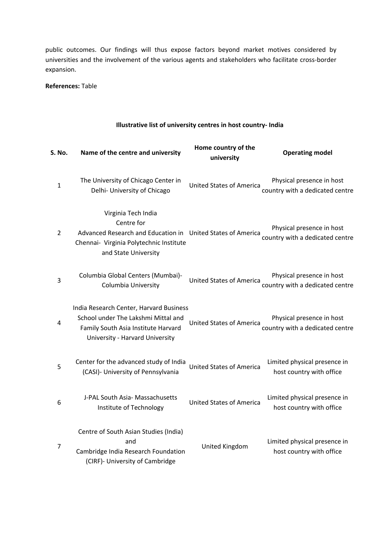public outcomes. Our findings will thus expose factors beyond market motives considered by universities and the involvement of the various agents and stakeholders who facilitate cross-border expansion.

**References:** Table

## **Illustrative list of university centres in host country- India**

| S. No.         | Name of the centre and university                                                                                                                                   | Home country of the<br>university | <b>Operating model</b>                                       |
|----------------|---------------------------------------------------------------------------------------------------------------------------------------------------------------------|-----------------------------------|--------------------------------------------------------------|
| $\mathbf{1}$   | The University of Chicago Center in<br>Delhi- University of Chicago                                                                                                 | <b>United States of America</b>   | Physical presence in host<br>country with a dedicated centre |
| $\overline{2}$ | Virginia Tech India<br>Centre for<br>Advanced Research and Education in United States of America<br>Chennai- Virginia Polytechnic Institute<br>and State University |                                   | Physical presence in host<br>country with a dedicated centre |
| 3              | Columbia Global Centers (Mumbai)-<br>Columbia University                                                                                                            | <b>United States of America</b>   | Physical presence in host<br>country with a dedicated centre |
| 4              | India Research Center, Harvard Business<br>School under The Lakshmi Mittal and<br>Family South Asia Institute Harvard<br>University - Harvard University            | <b>United States of America</b>   | Physical presence in host<br>country with a dedicated centre |
| 5              | Center for the advanced study of India<br>(CASI)- University of Pennsylvania                                                                                        | <b>United States of America</b>   | Limited physical presence in<br>host country with office     |
| 6              | J-PAL South Asia- Massachusetts<br>Institute of Technology                                                                                                          | <b>United States of America</b>   | Limited physical presence in<br>host country with office     |
| $\overline{7}$ | Centre of South Asian Studies (India)<br>and<br>Cambridge India Research Foundation<br>(CIRF)- University of Cambridge                                              | United Kingdom                    | Limited physical presence in<br>host country with office     |